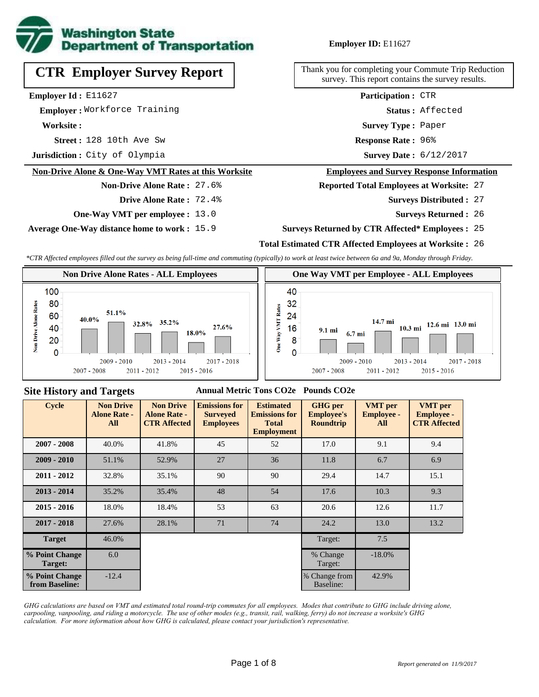

# **CTR Employer Survey Report**

**Employer Id :** E11627

 **Employer :** Workforce Training

**Worksite :**

**Street :** 128 10th Ave Sw **Response Rate :** 

**Jurisdiction :** City of Olympia

### **Non-Drive Alone & One-Way VMT Rates at this Worksite**

# **Non-Drive Alone Rate :** 27.6%

- **Drive Alone Rate :** 72.4%
- **One-Way VMT per employee :** 13.0

**Average One-Way distance home to work :** 15.9

### **Employer ID:** E11627

Thank you for completing your Commute Trip Reduction survey. This report contains the survey results.

> **Survey Type :** Paper **Status :** Affected **Participation :** CTR

Response Rate: 96%

Survey Date: 6/12/2017

### **Employees and Survey Response Information**

**Reported Total Employees at Worksite:** 27

- 27 **Surveys Distributed :**
	- **Surveys Returned :** 26

### **Surveys Returned by CTR Affected\* Employees :** 25

### **Total Estimated CTR Affected Employees at Worksite :** 26

*\*CTR Affected employees filled out the survey as being full-time and commuting (typically) to work at least twice between 6a and 9a, Monday through Friday.*



### 14.7 mi 10.3 mi 12.6 mi 13.0 mi 9.1 mi 6.7 mi  $-2014$  $2009 - 2010$ 2013  $2017 - 2018$  $2015 - 2016$ 2007 - 2008  $2011 - 2012$

### **Site History and Targets**

### **Annual Metric Tons CO2e Pounds CO2e**

| <b>Cycle</b>                     | <b>Non Drive</b><br><b>Alone Rate -</b><br>All | <b>Non Drive</b><br><b>Alone Rate -</b><br><b>CTR Affected</b> | <b>Emissions for</b><br><b>Surveyed</b><br><b>Employees</b> | <b>Estimated</b><br><b>Emissions for</b><br><b>Total</b><br><b>Employment</b> | <b>GHG</b> per<br><b>Employee's</b><br><b>Roundtrip</b> | <b>VMT</b> per<br><b>Employee -</b><br>All | <b>VMT</b> per<br><b>Employee -</b><br><b>CTR Affected</b> |
|----------------------------------|------------------------------------------------|----------------------------------------------------------------|-------------------------------------------------------------|-------------------------------------------------------------------------------|---------------------------------------------------------|--------------------------------------------|------------------------------------------------------------|
| $2007 - 2008$                    | 40.0%                                          | 41.8%                                                          | 45                                                          | 52                                                                            | 17.0                                                    | 9.1                                        | 9.4                                                        |
| $2009 - 2010$                    | 51.1%                                          | 52.9%                                                          | 27                                                          | 36                                                                            | 11.8                                                    | 6.7                                        | 6.9                                                        |
| $2011 - 2012$                    | 32.8%                                          | 35.1%                                                          | 90                                                          | 90                                                                            | 29.4                                                    | 14.7                                       | 15.1                                                       |
| $2013 - 2014$                    | 35.2%                                          | 35.4%                                                          | 48                                                          | 54                                                                            | 17.6                                                    | 10.3                                       | 9.3                                                        |
| $2015 - 2016$                    | 18.0%                                          | 18.4%                                                          | 53                                                          | 63                                                                            | 20.6                                                    | 12.6                                       | 11.7                                                       |
| $2017 - 2018$                    | 27.6%                                          | 28.1%                                                          | 71                                                          | 74                                                                            | 24.2                                                    | 13.0                                       | 13.2                                                       |
| <b>Target</b>                    | 46.0%                                          |                                                                |                                                             |                                                                               | Target:                                                 | 7.5                                        |                                                            |
| % Point Change<br>Target:        | 6.0                                            |                                                                |                                                             |                                                                               | % Change<br>Target:                                     | $-18.0%$                                   |                                                            |
| % Point Change<br>from Baseline: | $-12.4$                                        |                                                                |                                                             |                                                                               | % Change from<br>Baseline:                              | 42.9%                                      |                                                            |

*GHG calculations are based on VMT and estimated total round-trip commutes for all employees. Modes that contribute to GHG include driving alone, carpooling, vanpooling, and riding a motorcycle. The use of other modes (e.g., transit, rail, walking, ferry) do not increase a worksite's GHG calculation. For more information about how GHG is calculated, please contact your jurisdiction's representative.*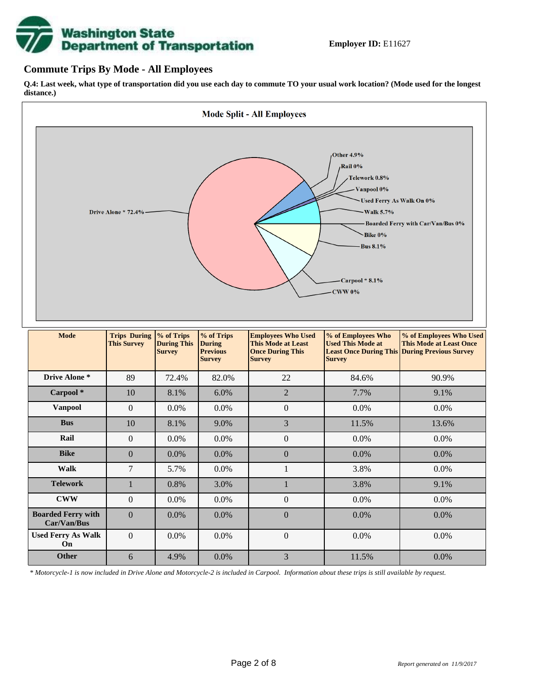# **Washington State<br>Department of Transportation**

### **Commute Trips By Mode - All Employees**

**Q.4: Last week, what type of transportation did you use each day to commute TO your usual work location? (Mode used for the longest distance.)**



*\* Motorcycle-1 is now included in Drive Alone and Motorcycle-2 is included in Carpool. Information about these trips is still available by request.*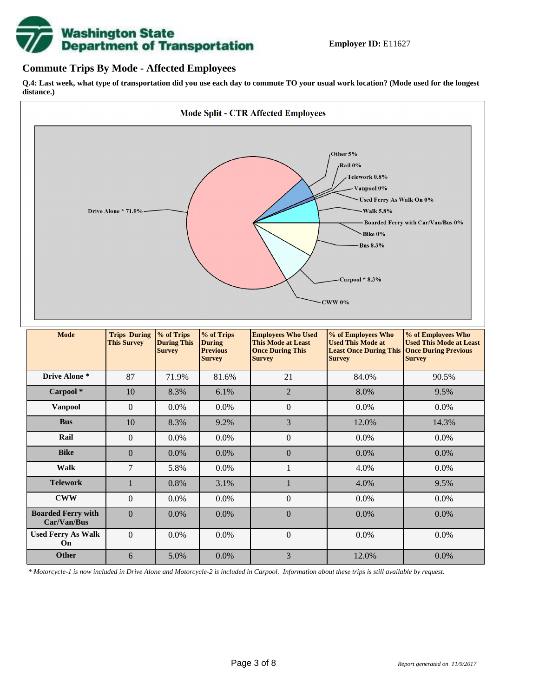

### **Commute Trips By Mode - Affected Employees**

**Q.4: Last week, what type of transportation did you use each day to commute TO your usual work location? (Mode used for the longest distance.)**



*\* Motorcycle-1 is now included in Drive Alone and Motorcycle-2 is included in Carpool. Information about these trips is still available by request.*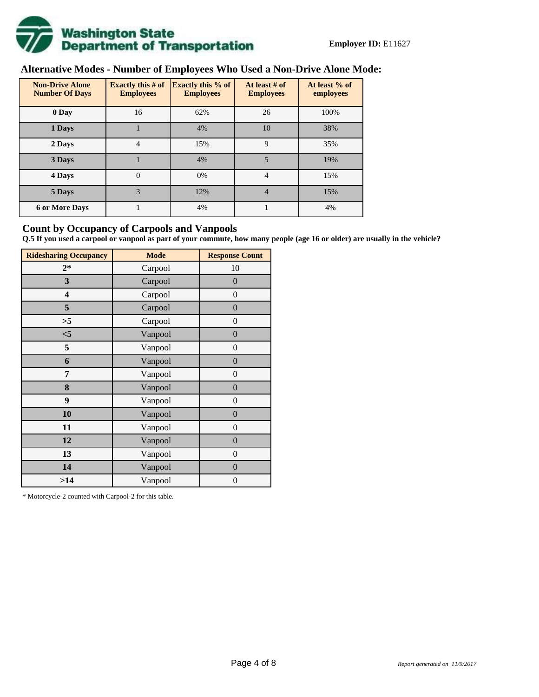

# **Alternative Modes - Number of Employees Who Used a Non-Drive Alone Mode:**

| <b>Non-Drive Alone</b><br><b>Number Of Days</b> | Exactly this $#$ of<br><b>Employees</b> | Exactly this % of<br><b>Employees</b> | At least # of<br><b>Employees</b> | At least % of<br>employees |  |  |
|-------------------------------------------------|-----------------------------------------|---------------------------------------|-----------------------------------|----------------------------|--|--|
| 0 Day                                           | 16                                      | 62%                                   | 26                                | 100%                       |  |  |
| 1 Days                                          |                                         | 4%                                    | 10                                | 38%                        |  |  |
| 2 Days                                          | 4                                       | 15%                                   | $\mathbf Q$                       | 35%                        |  |  |
| 3 Days                                          |                                         | 4%                                    | 5                                 | 19%                        |  |  |
| 4 Days                                          | $\theta$                                | 0%                                    | 4                                 | 15%                        |  |  |
| 5 Days                                          | 3                                       | 12%                                   | $\overline{4}$                    | 15%                        |  |  |
| <b>6 or More Days</b>                           |                                         | 4%                                    |                                   | 4%                         |  |  |

### **Count by Occupancy of Carpools and Vanpools**

**Q.5 If you used a carpool or vanpool as part of your commute, how many people (age 16 or older) are usually in the vehicle?**

| <b>Ridesharing Occupancy</b> | <b>Mode</b> | <b>Response Count</b> |
|------------------------------|-------------|-----------------------|
| $2*$                         | Carpool     | 10                    |
| 3                            | Carpool     | $\boldsymbol{0}$      |
| 4                            | Carpool     | $\boldsymbol{0}$      |
| 5                            | Carpool     | $\boldsymbol{0}$      |
| >5                           | Carpool     | $\overline{0}$        |
| $<$ 5                        | Vanpool     | $\overline{0}$        |
| 5                            | Vanpool     | $\boldsymbol{0}$      |
| 6                            | Vanpool     | $\boldsymbol{0}$      |
| 7                            | Vanpool     | $\boldsymbol{0}$      |
| 8                            | Vanpool     | $\boldsymbol{0}$      |
| 9                            | Vanpool     | $\boldsymbol{0}$      |
| 10                           | Vanpool     | $\overline{0}$        |
| 11                           | Vanpool     | $\overline{0}$        |
| 12                           | Vanpool     | $\boldsymbol{0}$      |
| 13                           | Vanpool     | $\boldsymbol{0}$      |
| 14                           | Vanpool     | $\overline{0}$        |
| >14                          | Vanpool     | $\boldsymbol{0}$      |

\* Motorcycle-2 counted with Carpool-2 for this table.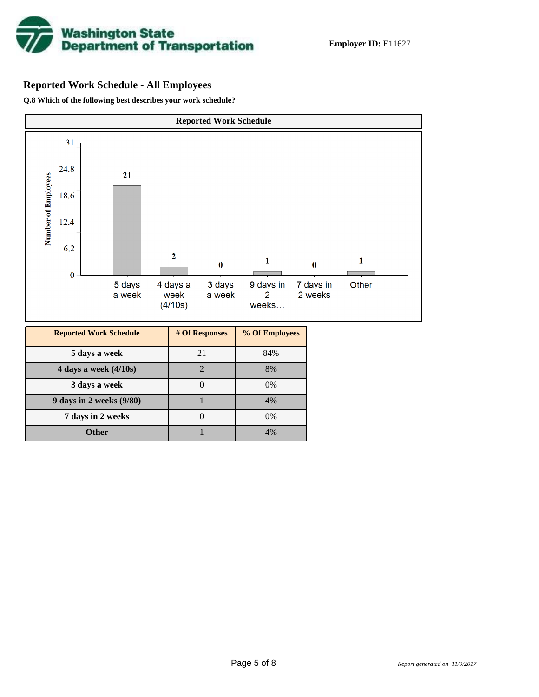

## **Reported Work Schedule - All Employees**

**Q.8 Which of the following best describes your work schedule?**

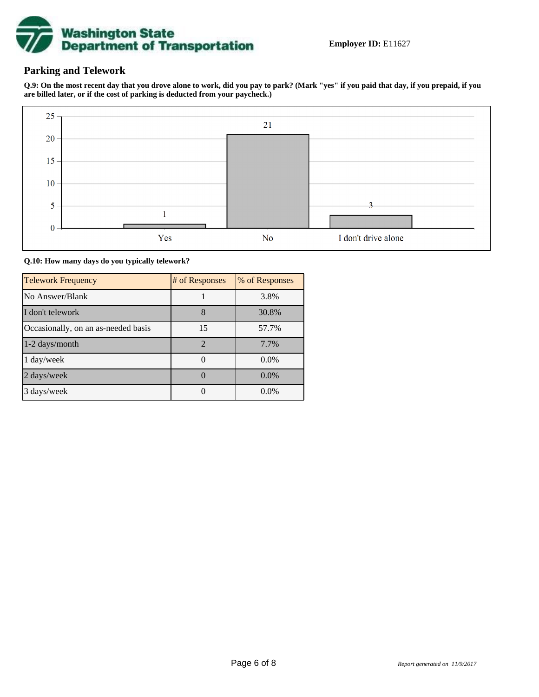

### **Parking and Telework**

**Q.9: On the most recent day that you drove alone to work, did you pay to park? (Mark "yes" if you paid that day, if you prepaid, if you are billed later, or if the cost of parking is deducted from your paycheck.)**



**Q.10: How many days do you typically telework?**

| <b>Telework Frequency</b>           | # of Responses | % of Responses |
|-------------------------------------|----------------|----------------|
| No Answer/Blank                     |                | 3.8%           |
| I don't telework                    | 8              | 30.8%          |
| Occasionally, on an as-needed basis | 15             | 57.7%          |
| 1-2 days/month                      | $\overline{2}$ | 7.7%           |
| 1 day/week                          |                | $0.0\%$        |
| 2 days/week                         |                | $0.0\%$        |
| 3 days/week                         |                | $0.0\%$        |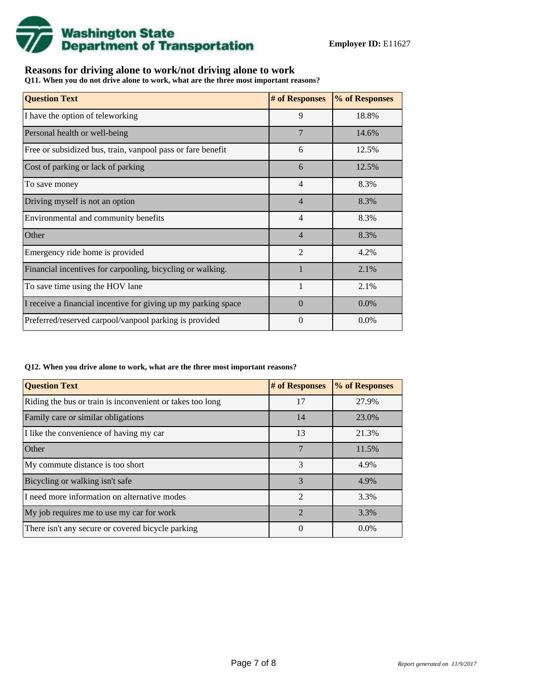

## **Reasons for driving alone to work/not driving alone to work**

**Q11. When you do not drive alone to work, what are the three most important reasons?**

| <b>Question Text</b>                                           | # of Responses | % of Responses |
|----------------------------------------------------------------|----------------|----------------|
| I have the option of teleworking                               | 9              | 18.8%          |
| Personal health or well-being                                  | $\overline{7}$ | 14.6%          |
| Free or subsidized bus, train, vanpool pass or fare benefit    | 6              | 12.5%          |
| Cost of parking or lack of parking                             | 6              | 12.5%          |
| To save money                                                  | $\overline{4}$ | 8.3%           |
| Driving myself is not an option                                | $\overline{4}$ | 8.3%           |
| Environmental and community benefits                           | $\overline{4}$ | 8.3%           |
| Other                                                          | $\overline{4}$ | 8.3%           |
| Emergency ride home is provided                                | $\mathfrak{D}$ | 4.2%           |
| Financial incentives for carpooling, bicycling or walking.     |                | 2.1%           |
| To save time using the HOV lane                                |                | 2.1%           |
| I receive a financial incentive for giving up my parking space | $\Omega$       | 0.0%           |
| Preferred/reserved carpool/vanpool parking is provided         | $\theta$       | $0.0\%$        |

#### **Q12. When you drive alone to work, what are the three most important reasons?**

| <b>Question Text</b>                                      | # of Responses | % of Responses |  |  |
|-----------------------------------------------------------|----------------|----------------|--|--|
| Riding the bus or train is inconvenient or takes too long | 17             | 27.9%          |  |  |
| Family care or similar obligations                        | 14             | 23.0%          |  |  |
| I like the convenience of having my car                   | 13             | 21.3%          |  |  |
| Other                                                     | 7              | 11.5%          |  |  |
| My commute distance is too short                          | 3              | 4.9%           |  |  |
| Bicycling or walking isn't safe                           | 3              | 4.9%           |  |  |
| I need more information on alternative modes              | $\mathfrak{D}$ | 3.3%           |  |  |
| My job requires me to use my car for work                 | $\mathcal{D}$  | 3.3%           |  |  |
| There isn't any secure or covered bicycle parking         | 0              | $0.0\%$        |  |  |